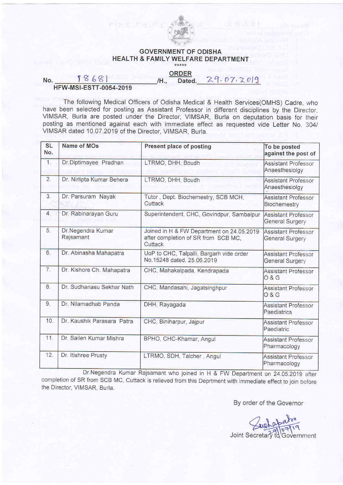

## GOVERNMENT OF ODISHA HEALTH & FAMILY WELFARE DEPARTMENT

ORDER

 $Data. 29.07.7019$ 

## No.  $18681$  IH., **HFW-MSI-ESTT-0054-2019**

The following Medical Officers of Odisha Medical & Health Services(OMHS) Cadre, who have been selected for posting as Assistant Professor in different disciplines by the Director, VIMSAR, Burla are posted under the Director, VIMSAR, Burla on deputation basis for their posting as mentioned against each with immediate effect as requested vide Letter No. 304/ VIMSAR dated 10.07.2019 of the Director. VIMSAR. Burta.

| <b>SL</b><br>No. | <b>Name of MOs</b>              | <b>Present place of posting</b>                                                             | To be posted<br>against the post of                  |
|------------------|---------------------------------|---------------------------------------------------------------------------------------------|------------------------------------------------------|
| 1.               | Dr.Diptimayee Pradhan           | LTRMO, DHH, Boudh                                                                           | <b>Assistant Professor</b><br>Anaesthesiolgy         |
| 2.               | Dr. Nirlipta Kumar Behera       | LTRMO, DHH, Boudh                                                                           | <b>Assistant Professor</b><br>Anaesthesiolgy         |
| 3.               | Dr. Parsuram Nayak              | Tutor, Dept. Biochemestry, SCB MCH,<br>Cuttack                                              | <b>Assistant Professor</b><br>Biochemestry           |
| $\overline{4}$ . | Dr. Rabinarayan Guru            | Superintendent, CHC, Govindpur, Sambalpur                                                   | <b>Assistant Professor</b><br><b>General Surgery</b> |
| 5.               | Dr. Negendra Kumar<br>Rajsamant | Joined in H & FW Department on 24.05.2019<br>after completion of SR from SCB MC,<br>Cuttack | Assistant Professor<br><b>General Surgery</b>        |
| 6.               | Dr. Abinasha Mahapatra          | UoP to CHC, Talpalli, Bargarh vide order<br>No.15248 dated. 25.06.2019                      | Assistant Professor<br><b>General Surgery</b>        |
| 7.               | Dr. Kishore Ch. Mahapatra       | CHC, Mahakalpada, Kendrapada                                                                | Assistant Professor<br>0 & G                         |
| 8.               | Dr. Sudhanasu Sekhar Nath       | CHC, Mandasahi, Jagatsinghpur                                                               | Assistant Professor<br>0 & G                         |
| 9.               | Dr. Nilamadhab Panda            | DHH, Rayagada                                                                               | Assistant Professor<br>Paediatrics                   |
| 10.              | Dr. Kaushik Parasara Patra      | CHC, Biniharpur, Jajpur                                                                     | Assistant Professor<br>Paediatric                    |
| 11.              | Dr. Sailen Kumar Mishra         | BPHO, CHC-Khamar, Angul                                                                     | <b>Assistant Professor</b><br>Pharmacology           |
| 12.              | Dr. Itishree Prusty             | LTRMO, SDH, Talcher, Angul                                                                  | <b>Assistant Professor</b><br>Pharmacology           |

Dr.Negendra Kumar Rajsamant who joined in H & FW Department on 24.05.2019 after completion of SR from SCB MC, Cuttack is relieved from this Deprtment with immediate effect to join before the Director, VIMSAR, Burla.

By order of the Governor

Joint Secretary to Government